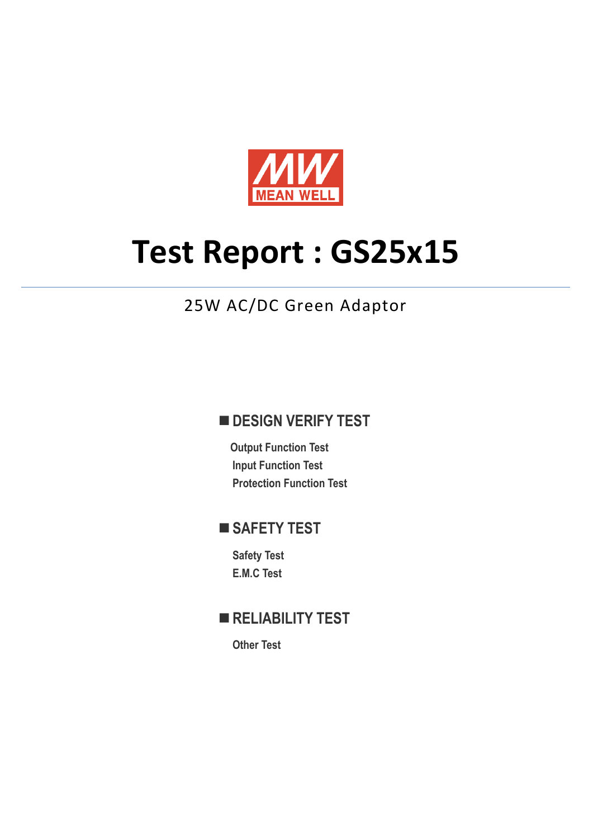

# **Test Report : GS25x15**

## 25W AC/DC Green Adaptor

## **DESIGN VERIFY TEST**

**Output Function Test Input Function Test Protection Function Test** 

## **SAFETY TEST**

**Safety Test E.M.C Test**

## **RELIABILITY TEST**

**Other Test**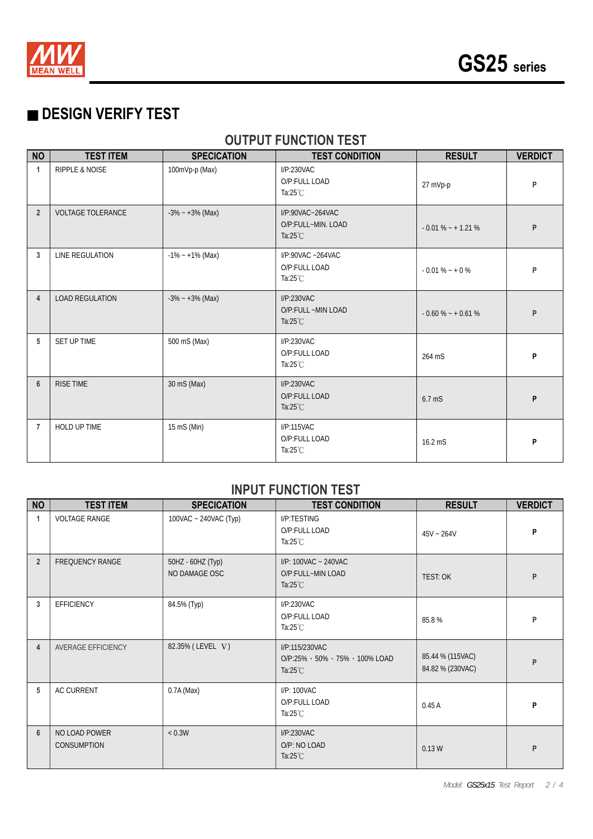

## ■ **DESIGN VERIFY TEST**

### **OUTPUT FUNCTION TEST**

| <b>NO</b>      | <b>TEST ITEM</b>          | <b>SPECICATION</b>  | <b>TEST CONDITION</b>                                        | <b>RESULT</b>       | <b>VERDICT</b> |
|----------------|---------------------------|---------------------|--------------------------------------------------------------|---------------------|----------------|
| $\mathbf{1}$   | <b>RIPPLE &amp; NOISE</b> | 100mVp-p (Max)      | I/P:230VAC<br>O/P:FULL LOAD<br>Ta: $25^{\circ}$ C            | 27 mVp-p            | P              |
| $\overline{2}$ | <b>VOLTAGE TOLERANCE</b>  | $-3\% - +3\%$ (Max) | I/P:90VAC~264VAC<br>O/P:FULL~MIN. LOAD<br>Ta: $25^{\circ}$ C | $-0.01\% - +1.21\%$ | P              |
| 3              | LINE REGULATION           | $-1\% - 1\%$ (Max)  | $I/P$ :90VAC ~264VAC<br>O/P:FULL LOAD<br>Ta: $25^{\circ}$ C  | $-0.01\% - +0\%$    | P              |
| $\overline{4}$ | <b>LOAD REGULATION</b>    | $-3\% - +3\%$ (Max) | I/P:230VAC<br>O/P:FULL ~MIN LOAD<br>Ta: $25^{\circ}$ C       | $-0.60\% - +0.61\%$ | P              |
| 5              | SET UP TIME               | 500 mS (Max)        | I/P:230VAC<br>O/P:FULL LOAD<br>Ta: $25^{\circ}$ C            | 264 mS              | P              |
| $6\phantom{1}$ | <b>RISE TIME</b>          | 30 mS (Max)         | I/P:230VAC<br>O/P:FULL LOAD<br>Ta: $25^{\circ}$ C            | $6.7$ mS            | P              |
| $\overline{7}$ | HOLD UP TIME              | 15 mS (Min)         | I/P:115VAC<br>O/P:FULL LOAD<br>Ta: $25^{\circ}$ C            | 16.2 mS             | P              |

#### **INPUT FUNCTION TEST**

| <b>NO</b>      | <b>TEST ITEM</b>                    | <b>SPECICATION</b>                 | <b>TEST CONDITION</b>                                                   | <b>RESULT</b>                        | <b>VERDICT</b> |
|----------------|-------------------------------------|------------------------------------|-------------------------------------------------------------------------|--------------------------------------|----------------|
| $\mathbf{1}$   | <b>VOLTAGE RANGE</b>                | 100VAC ~ 240VAC (Typ)              | I/P:TESTING<br>O/P:FULL LOAD<br>Ta: $25^{\circ}$ C                      | $45V - 264V$                         | P              |
| $\overline{2}$ | <b>FREQUENCY RANGE</b>              | 50HZ - 60HZ (Typ)<br>NO DAMAGE OSC | I/P: 100VAC ~ 240VAC<br>O/P:FULL~MIN LOAD<br>Ta: $25^{\circ}$ C         | TEST: OK                             | P              |
| 3              | <b>EFFICIENCY</b>                   | 84.5% (Typ)                        | I/P:230VAC<br>O/P:FULL LOAD<br>Ta: $25^{\circ}$ C                       | 85.8%                                | P              |
| $\overline{4}$ | AVERAGE EFFICIENCY                  | 82.35% (LEVEL V)                   | I/P:115/230VAC<br>O/P:25% · 50% · 75% · 100% LOAD<br>Ta: $25^{\circ}$ C | 85.44 % (115VAC)<br>84.82 % (230VAC) | P              |
| 5              | <b>AC CURRENT</b>                   | $0.7A$ (Max)                       | I/P: 100VAC<br>O/P:FULL LOAD<br>Ta: $25^{\circ}$ C                      | 0.45A                                | P              |
| $6\phantom{1}$ | NO LOAD POWER<br><b>CONSUMPTION</b> | < 0.3W                             | I/P:230VAC<br>O/P: NO LOAD<br>Ta: $25^{\circ}$ C                        | 0.13W                                | P              |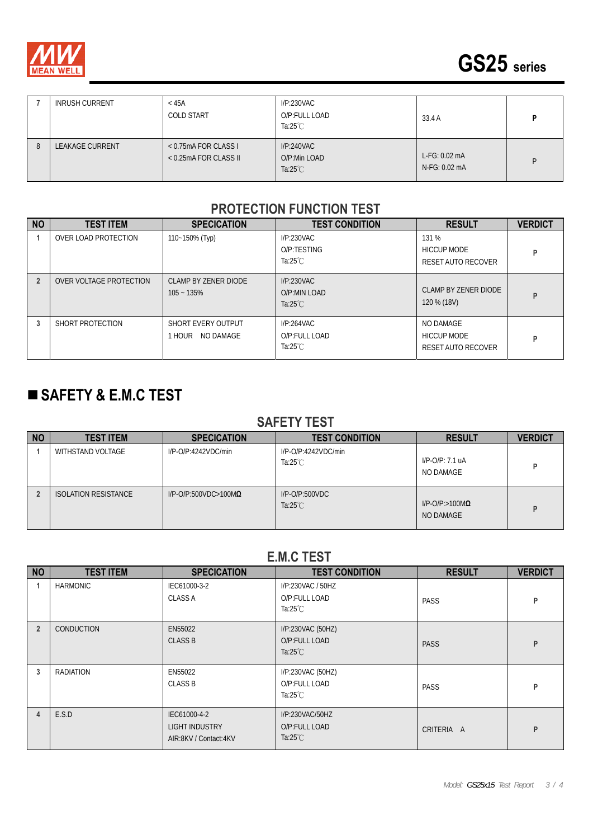



|   | <b>INRUSH CURRENT</b>  | $<$ 45A<br><b>COLD START</b>                    | I/P:230VAC<br>O/P:FULL LOAD<br>Ta: $25^{\circ}$ C | 33.4 A                          | D |
|---|------------------------|-------------------------------------------------|---------------------------------------------------|---------------------------------|---|
| 8 | <b>LEAKAGE CURRENT</b> | $<$ 0.75mA FOR CLASS I<br>< 0.25mA FOR CLASS II | I/P:240VAC<br>O/P:Min LOAD<br>Ta: $25^{\circ}$ C  | $L-FG: 0.02mA$<br>N-FG: 0.02 mA | D |

#### **PROTECTION FUNCTION TEST**

| <b>NO</b>      | <b>TEST ITEM</b>        | <b>SPECICATION</b>                     | <b>TEST CONDITION</b>                             | <b>RESULT</b>                                         | <b>VERDICT</b> |
|----------------|-------------------------|----------------------------------------|---------------------------------------------------|-------------------------------------------------------|----------------|
|                | OVER LOAD PROTECTION    | 110~150% (Typ)                         | I/P:230VAC<br>O/P:TESTING<br>Ta:25 $°C$           | 131 %<br><b>HICCUP MODE</b><br>RESET AUTO RECOVER     | P              |
| $\overline{2}$ | OVER VOLTAGE PROTECTION | CLAMP BY ZENER DIODE<br>$105 - 135%$   | I/P:230VAC<br>O/P:MIN LOAD<br>Ta: $25^{\circ}$ C  | CLAMP BY ZENER DIODE<br>120 % (18V)                   | P              |
| 3              | SHORT PROTECTION        | SHORT EVERY OUTPUT<br>1 HOUR NO DAMAGE | I/P:264VAC<br>O/P:FULL LOAD<br>Ta: $25^{\circ}$ C | NO DAMAGE<br><b>HICCUP MODE</b><br>RESET AUTO RECOVER | P              |

## **SAFETY & E.M.C TEST**

#### **SAFETY TEST**

| <b>NO</b> | <b>TEST ITEM</b>            | <b>SPECICATION</b>              | <b>TEST CONDITION</b>                     | <b>RESULT</b>                          | <b>VERDICT</b> |
|-----------|-----------------------------|---------------------------------|-------------------------------------------|----------------------------------------|----------------|
|           | WITHSTAND VOLTAGE           | I/P-O/P:4242VDC/min             | I/P-O/P:4242VDC/min<br>Ta: $25^{\circ}$ C | $I/P$ -O/P: 7.1 uA<br>NO DAMAGE        |                |
|           | <b>ISOLATION RESISTANCE</b> | $I/P$ -O/P:500VDC>100M $\Omega$ | $I/P$ -O/P:500VDC<br>Ta: $25^{\circ}$ C   | $I/P$ -O/P:>100M $\Omega$<br>NO DAMAGE | D              |

#### **E.M.C TEST**

| <b>NO</b>      | <b>TEST ITEM</b>  | <b>SPECICATION</b>                                             | <b>TEST CONDITION</b>                                    | <b>RESULT</b> | <b>VERDICT</b> |
|----------------|-------------------|----------------------------------------------------------------|----------------------------------------------------------|---------------|----------------|
|                | <b>HARMONIC</b>   | IEC61000-3-2<br><b>CLASS A</b>                                 | I/P:230VAC / 50HZ<br>O/P:FULL LOAD<br>Ta: $25^{\circ}$ C | PASS          | P              |
| $\overline{2}$ | <b>CONDUCTION</b> | EN55022<br><b>CLASS B</b>                                      | I/P:230VAC (50HZ)<br>O/P:FULL LOAD<br>Ta: $25^{\circ}$ C | <b>PASS</b>   | P              |
| 3              | <b>RADIATION</b>  | EN55022<br><b>CLASS B</b>                                      | I/P:230VAC (50HZ)<br>O/P:FULL LOAD<br>Ta: $25^{\circ}$ C | PASS          | P              |
| 4              | E.S.D             | IEC61000-4-2<br><b>LIGHT INDUSTRY</b><br>AIR:8KV / Contact:4KV | I/P:230VAC/50HZ<br>O/P:FULL LOAD<br>Ta: $25^{\circ}$ C   | CRITERIA A    | P              |